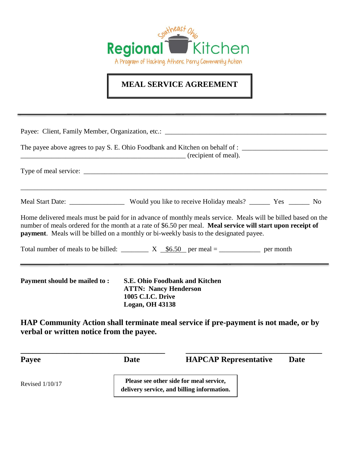

## **MEAL SERVICE AGREEMENT**

| recipient of meal).                      |                                                                                                                                                                                                                                                                                                                       |  |  |  |
|------------------------------------------|-----------------------------------------------------------------------------------------------------------------------------------------------------------------------------------------------------------------------------------------------------------------------------------------------------------------------|--|--|--|
|                                          |                                                                                                                                                                                                                                                                                                                       |  |  |  |
|                                          |                                                                                                                                                                                                                                                                                                                       |  |  |  |
|                                          | Home delivered meals must be paid for in advance of monthly meals service. Meals will be billed based on the<br>number of meals ordered for the month at a rate of \$6.50 per meal. Meal service will start upon receipt of<br>payment. Meals will be billed on a monthly or bi-weekly basis to the designated payee. |  |  |  |
|                                          | Total number of meals to be billed: $X$ $\frac{$6.50}{\text{per}}$ per meal = _______________ per month                                                                                                                                                                                                               |  |  |  |
| Payment should be mailed to:             | <b>S.E. Ohio Foodbank and Kitchen</b><br><b>ATTN: Nancy Henderson</b><br><b>1005 C.I.C. Drive</b><br><b>Logan, OH 43138</b>                                                                                                                                                                                           |  |  |  |
| verbal or written notice from the payee. | HAP Community Action shall terminate meal service if pre-payment is not made, or by                                                                                                                                                                                                                                   |  |  |  |

**Payee Date HAPCAP Representative Date** Revised 1/10/17 **Please see other side for meal service, delivery service, and billing information.**